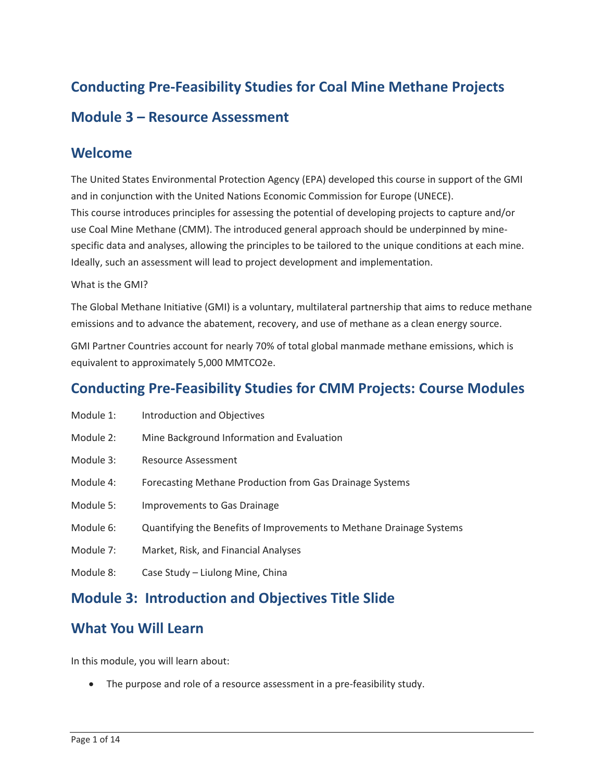# **Conducting Pre-Feasibility Studies for Coal Mine Methane Projects Module 3 – Resource Assessment**

#### **Welcome**

 The United States Environmental Protection Agency (EPA) developed this course in support of the GMI specific data and analyses, allowing the principles to be tailored to the unique conditions at each mine. and in conjunction with the United Nations Economic Commission for Europe (UNECE). This course introduces principles for assessing the potential of developing projects to capture and/or use Coal Mine Methane (CMM). The introduced general approach should be underpinned by mine-Ideally, such an assessment will lead to project development and implementation.

#### What is the GMI?

 The Global Methane Initiative (GMI) is a voluntary, multilateral partnership that aims to reduce methane emissions and to advance the abatement, recovery, and use of methane as a clean energy source.

GMI Partner Countries account for nearly 70% of total global manmade methane emissions, which is equivalent to approximately 5,000 MMTCO2e.

### **Conducting Pre-Feasibility Studies for CMM Projects: Course Modules**

- Module 1: Introduction and Objectives
- Module 2: Mine Background Information and Evaluation
- Module 3: Resource Assessment
- Module 4: Forecasting Methane Production from Gas Drainage Systems
- Module 5: Improvements to Gas Drainage
- Module 6: Quantifying the Benefits of Improvements to Methane Drainage Systems
- Module 7: Market, Risk, and Financial Analyses
- Module 8: Case Study Liulong Mine, China

### **Module 3: Introduction and Objectives Title Slide**

### **What You Will Learn**

In this module, you will learn about:

• The purpose and role of a resource assessment in a pre-feasibility study.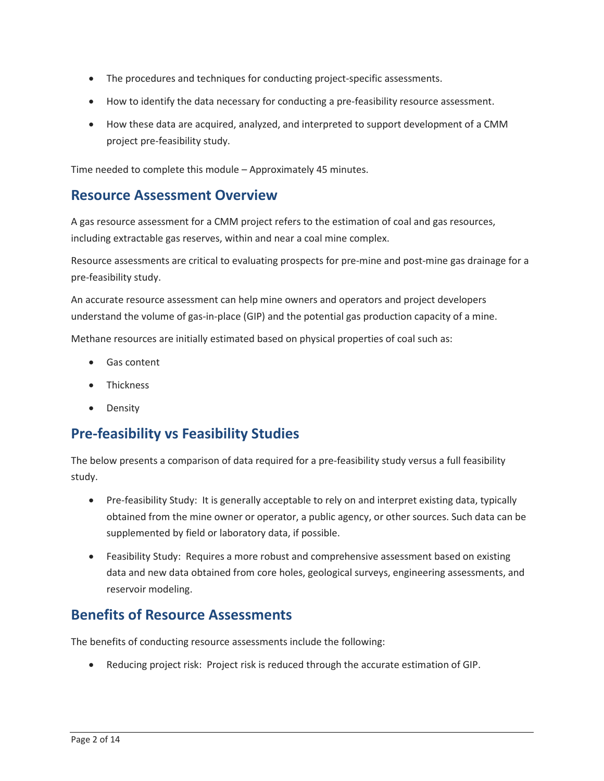- The procedures and techniques for conducting project-specific assessments.
- How to identify the data necessary for conducting a pre-feasibility resource assessment.
- How these data are acquired, analyzed, and interpreted to support development of a CMM project pre-feasibility study.

Time needed to complete this module – Approximately 45 minutes.

#### **Resource Assessment Overview**

A gas resource assessment for a CMM project refers to the estimation of coal and gas resources, including extractable gas reserves, within and near a coal mine complex.

 Resource assessments are critical to evaluating prospects for pre-mine and post-mine gas drainage for a pre-feasibility study.

 understand the volume of gas-in-place (GIP) and the potential gas production capacity of a mine. An accurate resource assessment can help mine owners and operators and project developers

Methane resources are initially estimated based on physical properties of coal such as:

- Gas content
- Thickness
- Density

# **Pre-feasibility vs Feasibility Studies**

The below presents a comparison of data required for a pre-feasibility study versus a full feasibility study.

- • Pre-feasibility Study: It is generally acceptable to rely on and interpret existing data, typically obtained from the mine owner or operator, a public agency, or other sources. Such data can be supplemented by field or laboratory data, if possible.
- • Feasibility Study: Requires a more robust and comprehensive assessment based on existing data and new data obtained from core holes, geological surveys, engineering assessments, and reservoir modeling.

### **Benefits of Resource Assessments**

The benefits of conducting resource assessments include the following:

• Reducing project risk: Project risk is reduced through the accurate estimation of GIP.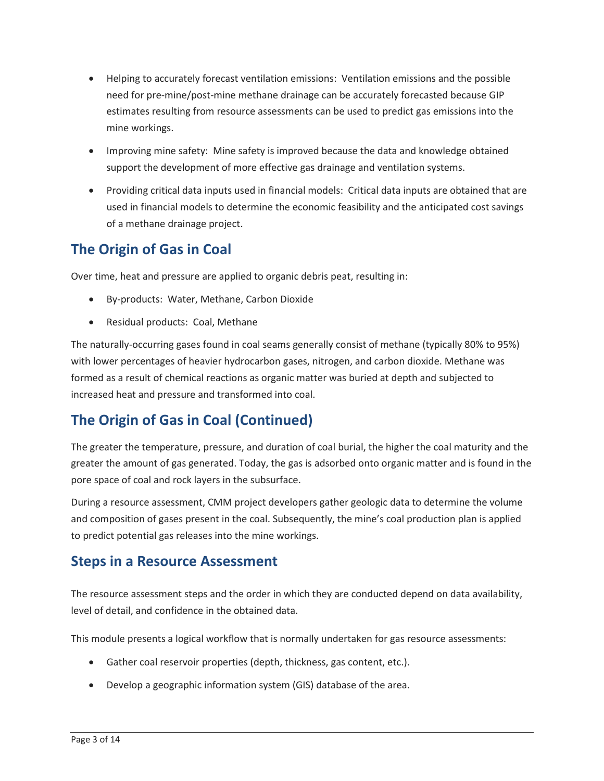- estimates resulting from resource assessments can be used to predict gas emissions into the • Helping to accurately forecast ventilation emissions: Ventilation emissions and the possible need for pre-mine/post-mine methane drainage can be accurately forecasted because GIP mine workings.
- • Improving mine safety: Mine safety is improved because the data and knowledge obtained support the development of more effective gas drainage and ventilation systems.
- Providing critical data inputs used in financial models: Critical data inputs are obtained that are used in financial models to determine the economic feasibility and the anticipated cost savings of a methane drainage project.

# **The Origin of Gas in Coal**

Over time, heat and pressure are applied to organic debris peat, resulting in:

- By-products: Water, Methane, Carbon Dioxide
- Residual products: Coal, Methane

 The naturally-occurring gases found in coal seams generally consist of methane (typically 80% to 95%) with lower percentages of heavier hydrocarbon gases, nitrogen, and carbon dioxide. Methane was formed as a result of chemical reactions as organic matter was buried at depth and subjected to increased heat and pressure and transformed into coal.

# **The Origin of Gas in Coal (Continued)**

 greater the amount of gas generated. Today, the gas is adsorbed onto organic matter and is found in the The greater the temperature, pressure, and duration of coal burial, the higher the coal maturity and the pore space of coal and rock layers in the subsurface.

 and composition of gases present in the coal. Subsequently, the mine's coal production plan is applied During a resource assessment, CMM project developers gather geologic data to determine the volume to predict potential gas releases into the mine workings.

### **Steps in a Resource Assessment**

The resource assessment steps and the order in which they are conducted depend on data availability, level of detail, and confidence in the obtained data.

This module presents a logical workflow that is normally undertaken for gas resource assessments:

- Gather coal reservoir properties (depth, thickness, gas content, etc.).
- Develop a geographic information system (GIS) database of the area.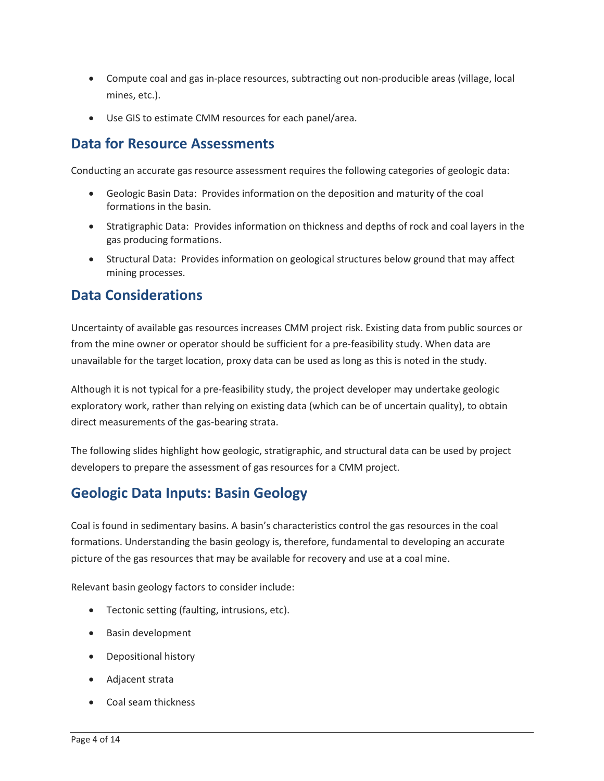- Compute coal and gas in-place resources, subtracting out non-producible areas (village, local mines, etc.).
- Use GIS to estimate CMM resources for each panel/area.

#### **Data for Resource Assessments**

Conducting an accurate gas resource assessment requires the following categories of geologic data:

- • Geologic Basin Data: Provides information on the deposition and maturity of the coal formations in the basin.
- Stratigraphic Data: Provides information on thickness and depths of rock and coal layers in the gas producing formations.
- • Structural Data: Provides information on geological structures below ground that may affect mining processes.

### **Data Considerations**

Uncertainty of available gas resources increases CMM project risk. Existing data from public sources or from the mine owner or operator should be sufficient for a pre-feasibility study. When data are unavailable for the target location, proxy data can be used as long as this is noted in the study.

 exploratory work, rather than relying on existing data (which can be of uncertain quality), to obtain Although it is not typical for a pre-feasibility study, the project developer may undertake geologic direct measurements of the gas-bearing strata.

The following slides highlight how geologic, stratigraphic, and structural data can be used by project developers to prepare the assessment of gas resources for a CMM project.

# **Geologic Data Inputs: Basin Geology**

Coal is found in sedimentary basins. A basin's characteristics control the gas resources in the coal formations. Understanding the basin geology is, therefore, fundamental to developing an accurate picture of the gas resources that may be available for recovery and use at a coal mine.

Relevant basin geology factors to consider include:

- Tectonic setting (faulting, intrusions, etc).
- Basin development
- Depositional history
- Adjacent strata
- Coal seam thickness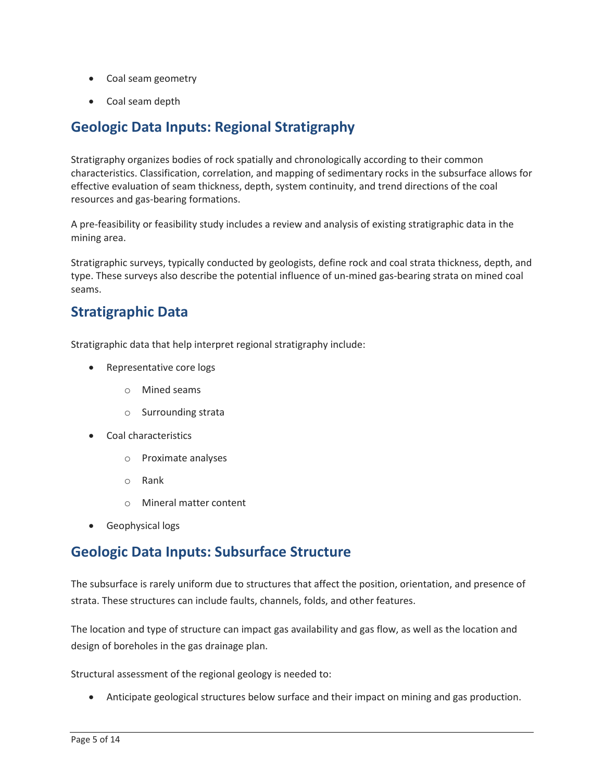- Coal seam geometry
- Coal seam depth

### **Geologic Data Inputs: Regional Stratigraphy**

 effective evaluation of seam thickness, depth, system continuity, and trend directions of the coal Stratigraphy organizes bodies of rock spatially and chronologically according to their common characteristics. Classification, correlation, and mapping of sedimentary rocks in the subsurface allows for resources and gas-bearing formations.

 A pre-feasibility or feasibility study includes a review and analysis of existing stratigraphic data in the mining area.

Stratigraphic surveys, typically conducted by geologists, define rock and coal strata thickness, depth, and type. These surveys also describe the potential influence of un-mined gas-bearing strata on mined coal seams.

### **Stratigraphic Data**

Stratigraphic data that help interpret regional stratigraphy include:

- Representative core logs
	- o Mined seams
	- o Surrounding strata
- Coal characteristics
	- o Proximate analyses
	- o Rank
	- o Mineral matter content
- Geophysical logs

### **Geologic Data Inputs: Subsurface Structure**

The subsurface is rarely uniform due to structures that affect the position, orientation, and presence of strata. These structures can include faults, channels, folds, and other features.

 design of boreholes in the gas drainage plan. The location and type of structure can impact gas availability and gas flow, as well as the location and

Structural assessment of the regional geology is needed to:

• Anticipate geological structures below surface and their impact on mining and gas production.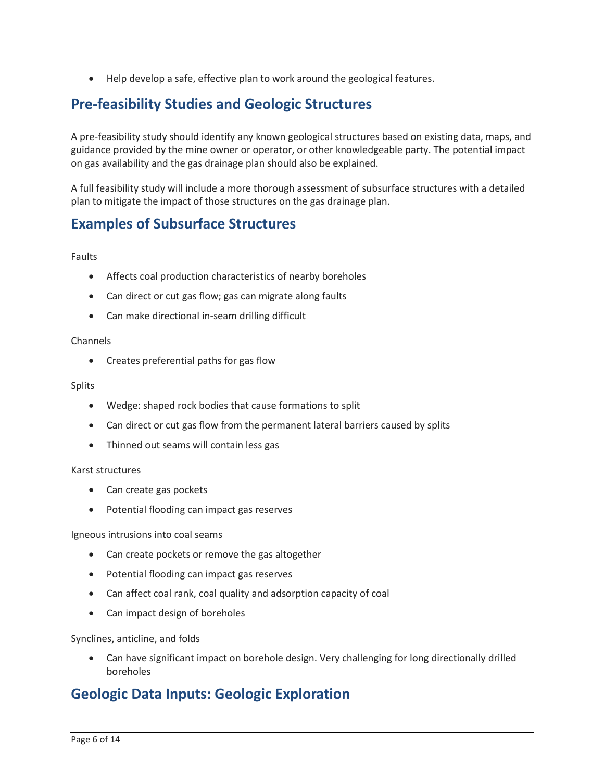• Help develop a safe, effective plan to work around the geological features.

## **Pre-feasibility Studies and Geologic Structures**

 A pre-feasibility study should identify any known geological structures based on existing data, maps, and guidance provided by the mine owner or operator, or other knowledgeable party. The potential impact on gas availability and the gas drainage plan should also be explained.

 plan to mitigate the impact of those structures on the gas drainage plan. A full feasibility study will include a more thorough assessment of subsurface structures with a detailed

### **Examples of Subsurface Structures**

Faults

- Affects coal production characteristics of nearby boreholes
- Can direct or cut gas flow; gas can migrate along faults
- Can make directional in-seam drilling difficult

#### Channels

• Creates preferential paths for gas flow

#### Splits

- Wedge: shaped rock bodies that cause formations to split
- Can direct or cut gas flow from the permanent lateral barriers caused by splits
- Thinned out seams will contain less gas

#### Karst structures

- Can create gas pockets
- Potential flooding can impact gas reserves

Igneous intrusions into coal seams

- Can create pockets or remove the gas altogether
- Potential flooding can impact gas reserves
- Can affect coal rank, coal quality and adsorption capacity of coal
- Can impact design of boreholes

Synclines, anticline, and folds

 boreholes • Can have significant impact on borehole design. Very challenging for long directionally drilled

#### **Geologic Data Inputs: Geologic Exploration**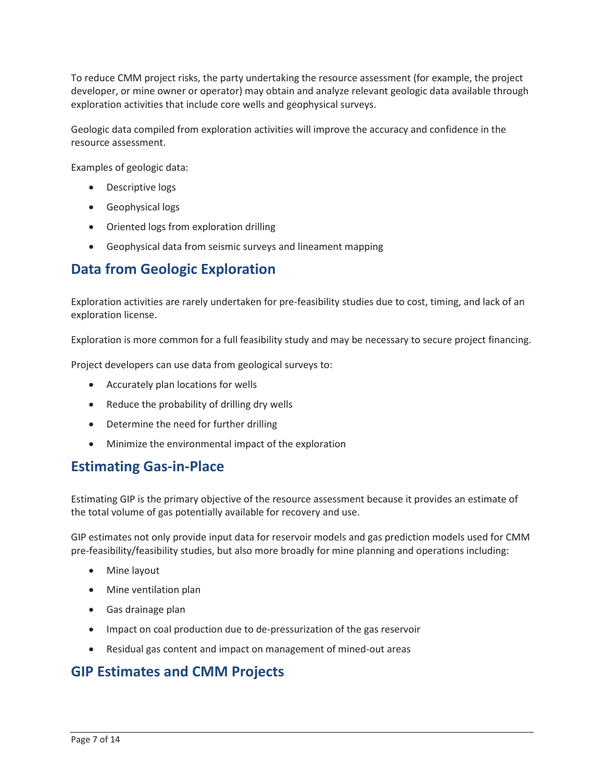developer, or mine owner or operator) may obtain and analyze relevant geologic data available through To reduce CMM project risks, the party undertaking the resource assessment (for example, the project exploration activities that include core wells and geophysical surveys.

Geologic data compiled from exploration activities will improve the accuracy and confidence in the resource assessment.

Examples of geologic data:

- Descriptive logs
- Geophysical logs
- Oriented logs from exploration drilling
- Geophysical data from seismic surveys and lineament mapping

### **Data from Geologic Exploration**

 Exploration activities are rarely undertaken for pre-feasibility studies due to cost, timing, and lack of an exploration license.

Exploration is more common for a full feasibility study and may be necessary to secure project financing.

Project developers can use data from geological surveys to:

- Accurately plan locations for wells
- Reduce the probability of drilling dry wells
- Determine the need for further drilling
- Minimize the environmental impact of the exploration

#### **Estimating Gas-in-Place**

the total volume of gas potentially available for recovery and use. Estimating GIP is the primary objective of the resource assessment because it provides an estimate of

GIP estimates not only provide input data for reservoir models and gas prediction models used for CMM pre-feasibility/feasibility studies, but also more broadly for mine planning and operations including:

- Mine layout
- Mine ventilation plan
- Gas drainage plan
- Impact on coal production due to de-pressurization of the gas reservoir
- Residual gas content and impact on management of mined-out areas

### **GIP Estimates and CMM Projects**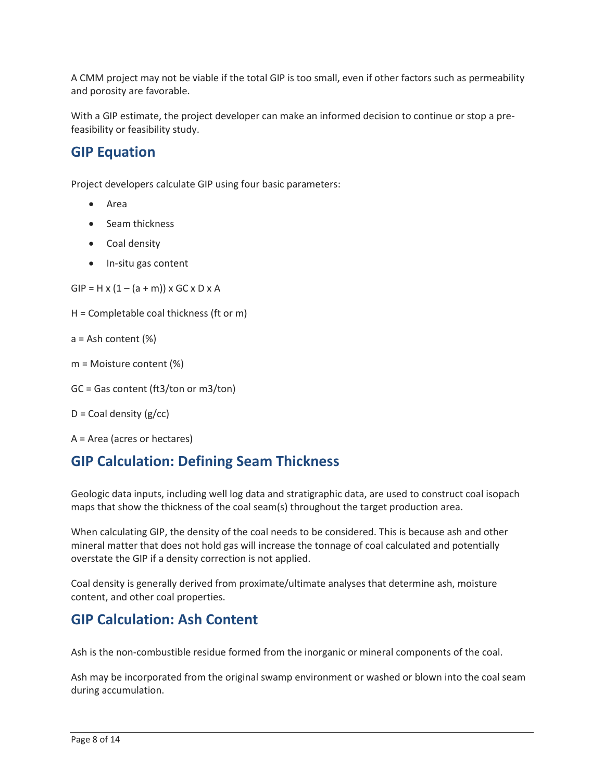A CMM project may not be viable if the total GIP is too small, even if other factors such as permeability and porosity are favorable.

With a GIP estimate, the project developer can make an informed decision to continue or stop a prefeasibility or feasibility study.

#### **GIP Equation**

Project developers calculate GIP using four basic parameters:

- Area
- Seam thickness
- Coal density
- In-situ gas content

• In-situ gas content<br>GIP = H x (1 – (a + m)) x GC x D x A

H = Completable coal thickness (ft or m)

```
a = Ash content (%)
```

```
m = Moisture content (%)
```

```
 
GC = Gas content (ft3/ton or m3/ton)
```

```
D = Coal density (g/cc)
```
A = Area (acres or hectares)

# **GIP Calculation: Defining Seam Thickness**

Geologic data inputs, including well log data and stratigraphic data, are used to construct coal isopach maps that show the thickness of the coal seam(s) throughout the target production area.

 When calculating GIP, the density of the coal needs to be considered. This is because ash and other overstate the GIP if a density correction is not applied. mineral matter that does not hold gas will increase the tonnage of coal calculated and potentially

overstate the GIP if a density correction is not applied.<br>Coal density is generally derived from proximate/ultimate analyses that determine ash, moisture content, and other coal properties.

#### **GIP Calculation: Ash Content**

Ash is the non-combustible residue formed from the inorganic or mineral components of the coal.

 Ash may be incorporated from the original swamp environment or washed or blown into the coal seam during accumulation.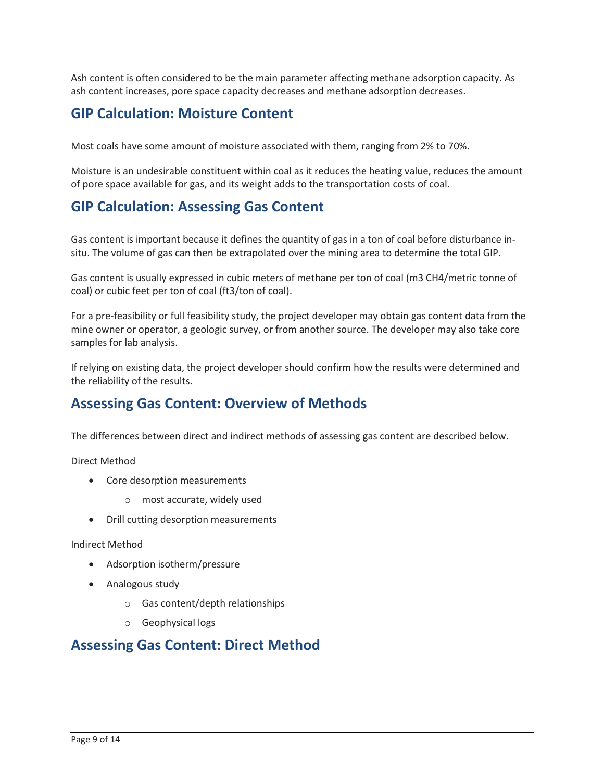Ash content is often considered to be the main parameter affecting methane adsorption capacity. As ash content increases, pore space capacity decreases and methane adsorption decreases.

### **GIP Calculation: Moisture Content**

Most coals have some amount of moisture associated with them, ranging from 2% to 70%.

 Moisture is an undesirable constituent within coal as it reduces the heating value, reduces the amount of pore space available for gas, and its weight adds to the transportation costs of coal.

# **GIP Calculation: Assessing Gas Content**

 Gas content is important because it defines the quantity of gas in a ton of coal before disturbance insitu. The volume of gas can then be extrapolated over the mining area to determine the total GIP.

situ. The volume of gas can then be extrapolated over the mining area to determine the total GIP.<br>Gas content is usually expressed in cubic meters of methane per ton of coal (m3 CH4/metric tonne of coal) or cubic feet per ton of coal (ft3/ton of coal).

 For a pre-feasibility or full feasibility study, the project developer may obtain gas content data from the mine owner or operator, a geologic survey, or from another source. The developer may also take core samples for lab analysis.

If relying on existing data, the project developer should confirm how the results were determined and the reliability of the results.

### **Assessing Gas Content: Overview of Methods**

The differences between direct and indirect methods of assessing gas content are described below.

Direct Method

- Core desorption measurements
	- o most accurate, widely used
- Drill cutting desorption measurements

Indirect Method

- Adsorption isotherm/pressure
- Analogous study
	- o Gas content/depth relationships
	- o Geophysical logs

#### **Assessing Gas Content: Direct Method**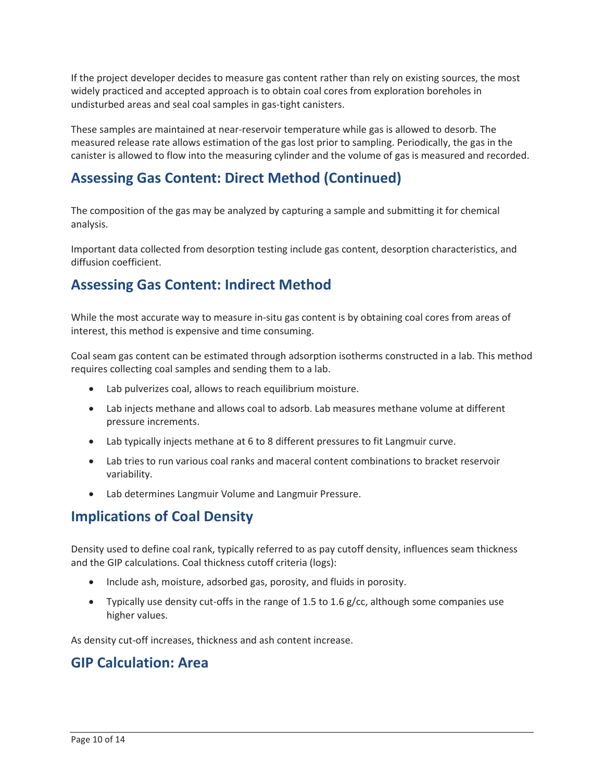If the project developer decides to measure gas content rather than rely on existing sources, the most widely practiced and accepted approach is to obtain coal cores from exploration boreholes in undisturbed areas and seal coal samples in gas-tight canisters.

 These samples are maintained at near-reservoir temperature while gas is allowed to desorb. The measured release rate allows estimation of the gas lost prior to sampling. Periodically, the gas in the canister is allowed to flow into the measuring cylinder and the volume of gas is measured and recorded.

# **Assessing Gas Content: Direct Method (Continued)**

The composition of the gas may be analyzed by capturing a sample and submitting it for chemical analysis.

 diffusion coefficient. Important data collected from desorption testing include gas content, desorption characteristics, and

### **Assessing Gas Content: Indirect Method**

 interest, this method is expensive and time consuming. While the most accurate way to measure in-situ gas content is by obtaining coal cores from areas of

 Coal seam gas content can be estimated through adsorption isotherms constructed in a lab. This method requires collecting coal samples and sending them to a lab.

- Lab pulverizes coal, allows to reach equilibrium moisture.
- • Lab injects methane and allows coal to adsorb. Lab measures methane volume at different pressure increments.
- Lab typically injects methane at 6 to 8 different pressures to fit Langmuir curve.
- Lab tries to run various coal ranks and maceral content combinations to bracket reservoir variability.
- Lab determines Langmuir Volume and Langmuir Pressure.

### **Implications of Coal Density**

 Density used to define coal rank, typically referred to as pay cutoff density, influences seam thickness and the GIP calculations. Coal thickness cutoff criteria (logs):

- Include ash, moisture, adsorbed gas, porosity, and fluids in porosity.
- Typically use density cut-offs in the range of 1.5 to 1.6 g/cc, although some companies use higher values.

As density cut-off increases, thickness and ash content increase.

### **GIP Calculation: Area**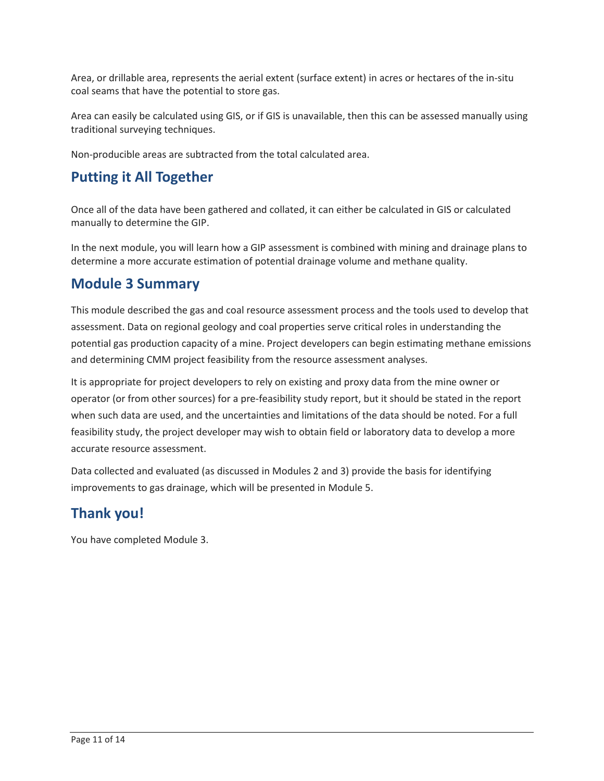Area, or drillable area, represents the aerial extent (surface extent) in acres or hectares of the in-situ coal seams that have the potential to store gas.

 Area can easily be calculated using GIS, or if GIS is unavailable, then this can be assessed manually using traditional surveying techniques.

Non-producible areas are subtracted from the total calculated area.

### **Putting it All Together**

 manually to determine the GIP. Once all of the data have been gathered and collated, it can either be calculated in GIS or calculated

In the next module, you will learn how a GIP assessment is combined with mining and drainage plans to determine a more accurate estimation of potential drainage volume and methane quality.

### **Module 3 Summary**

 This module described the gas and coal resource assessment process and the tools used to develop that potential gas production capacity of a mine. Project developers can begin estimating methane emissions assessment. Data on regional geology and coal properties serve critical roles in understanding the and determining CMM project feasibility from the resource assessment analyses.

 It is appropriate for project developers to rely on existing and proxy data from the mine owner or when such data are used, and the uncertainties and limitations of the data should be noted. For a full feasibility study, the project developer may wish to obtain field or laboratory data to develop a more operator (or from other sources) for a pre-feasibility study report, but it should be stated in the report accurate resource assessment.

Data collected and evaluated (as discussed in Modules 2 and 3) provide the basis for identifying improvements to gas drainage, which will be presented in Module 5.

### **Thank you!**

You have completed Module 3.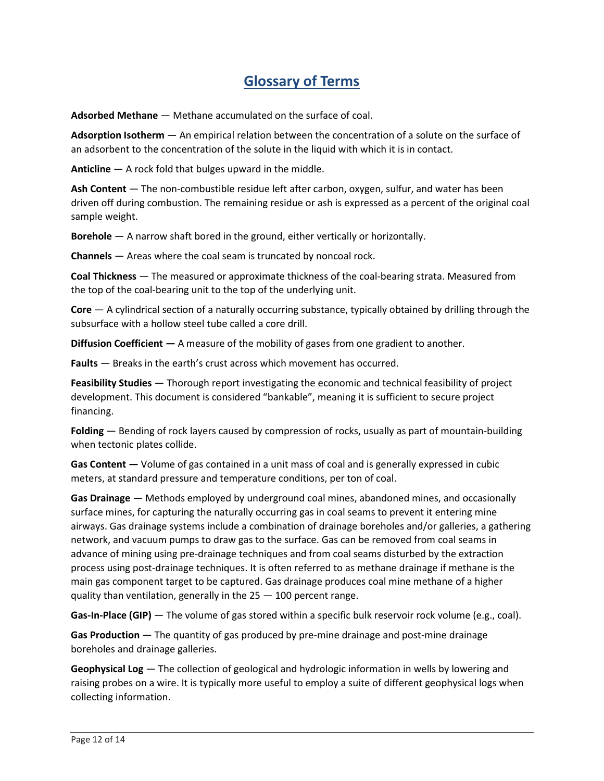# **Glossary of Terms**

**Adsorbed Methane** — Methane accumulated on the surface of coal.

 **Adsorption Isotherm** — An empirical relation between the concentration of a solute on the surface of an adsorbent to the concentration of the solute in the liquid with which it is in contact.

**Anticline** — A rock fold that bulges upward in the middle.

 **Ash Content** — The non-combustible residue left after carbon, oxygen, sulfur, and water has been driven off during combustion. The remaining residue or ash is expressed as a percent of the original coal sample weight.

**Borehole** — A narrow shaft bored in the ground, either vertically or horizontally.

**Channels** — Areas where the coal seam is truncated by noncoal rock.

 **Coal Thickness** — The measured or approximate thickness of the coal-bearing strata. Measured from the top of the coal-bearing unit to the top of the underlying unit.

 **Core** — A cylindrical section of a naturally occurring substance, typically obtained by drilling through the subsurface with a hollow steel tube called a core drill.

**Diffusion Coefficient —** A measure of the mobility of gases from one gradient to another.

**Faults** — Breaks in the earth's crust across which movement has occurred.

 **Feasibility Studies** — Thorough report investigating the economic and technical feasibility of project development. This document is considered "bankable", meaning it is sufficient to secure project financing.

 **Folding** — Bending of rock layers caused by compression of rocks, usually as part of mountain-building when tectonic plates collide.

**Gas Content —** Volume of gas contained in a unit mass of coal and is generally expressed in cubic meters, at standard pressure and temperature conditions, per ton of coal.

 **Gas Drainage** — Methods employed by underground coal mines, abandoned mines, and occasionally advance of mining using pre-drainage techniques and from coal seams disturbed by the extraction surface mines, for capturing the naturally occurring gas in coal seams to prevent it entering mine airways. Gas drainage systems include a combination of drainage boreholes and/or galleries, a gathering network, and vacuum pumps to draw gas to the surface. Gas can be removed from coal seams in process using post-drainage techniques. It is often referred to as methane drainage if methane is the main gas component target to be captured. Gas drainage produces coal mine methane of a higher quality than ventilation, generally in the 25 — 100 percent range.

**Gas-In-Place (GIP)** — The volume of gas stored within a specific bulk reservoir rock volume (e.g., coal).

 **Gas Production** — The quantity of gas produced by pre-mine drainage and post-mine drainage boreholes and drainage galleries.

 **Geophysical Log** — The collection of geological and hydrologic information in wells by lowering and raising probes on a wire. It is typically more useful to employ a suite of different geophysical logs when collecting information.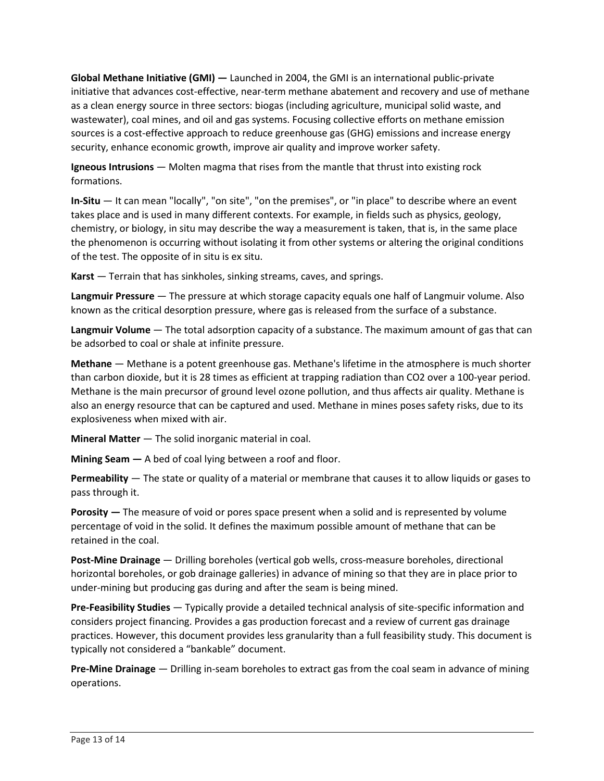**Global Methane Initiative (GMI) —** Launched in 2004, the GMI is an international public-private initiative that advances cost-effective, near-term methane abatement and recovery and use of methane sources is a cost-effective approach to reduce greenhouse gas (GHG) emissions and increase energy as a clean energy source in three sectors: biogas (including agriculture, municipal solid waste, and wastewater), coal mines, and oil and gas systems. Focusing collective efforts on methane emission security, enhance economic growth, improve air quality and improve worker safety.

 **Igneous Intrusions** — Molten magma that rises from the mantle that thrust into existing rock formations.

 **In-Situ** — It can mean "locally", "on site", "on the premises", or "in place" to describe where an event takes place and is used in many different contexts. For example, in fields such as physics, geology, chemistry, or biology, in situ may describe the way a measurement is taken, that is, in the same place the phenomenon is occurring without isolating it from other systems or altering the original conditions of the test. The opposite of in situ is ex situ.

**Karst** — Terrain that has sinkholes, sinking streams, caves, and springs.

 **Langmuir Pressure** — The pressure at which storage capacity equals one half of Langmuir volume. Also known as the critical desorption pressure, where gas is released from the surface of a substance.

 **Langmuir Volume** — The total adsorption capacity of a substance. The maximum amount of gas that can  be adsorbed to coal or shale at infinite pressure.

 **Methane** — Methane is a potent greenhouse gas. Methane's lifetime in the atmosphere is much shorter Methane is the main precursor of ground level ozone pollution, and thus affects air quality. Methane is also an energy resource that can be captured and used. Methane in mines poses safety risks, due to its than carbon dioxide, but it is 28 times as efficient at trapping radiation than CO2 over a 100-year period. explosiveness when mixed with air.

**Mineral Matter** — The solid inorganic material in coal.

**Mining Seam —** A bed of coal lying between a roof and floor.

 **Permeability** — The state or quality of a material or membrane that causes it to allow liquids or gases to pass through it.

 **Porosity —** The measure of void or pores space present when a solid and is represented by volume percentage of void in the solid. It defines the maximum possible amount of methane that can be retained in the coal.

 under-mining but producing gas during and after the seam is being mined. **Post-Mine Drainage** — Drilling boreholes (vertical gob wells, cross-measure boreholes, directional horizontal boreholes, or gob drainage galleries) in advance of mining so that they are in place prior to

 **Pre-Feasibility Studies** — Typically provide a detailed technical analysis of site-specific information and considers project financing. Provides a gas production forecast and a review of current gas drainage practices. However, this document provides less granularity than a full feasibility study. This document is typically not considered a "bankable" document.

 **Pre-Mine Drainage** — Drilling in-seam boreholes to extract gas from the coal seam in advance of mining operations.